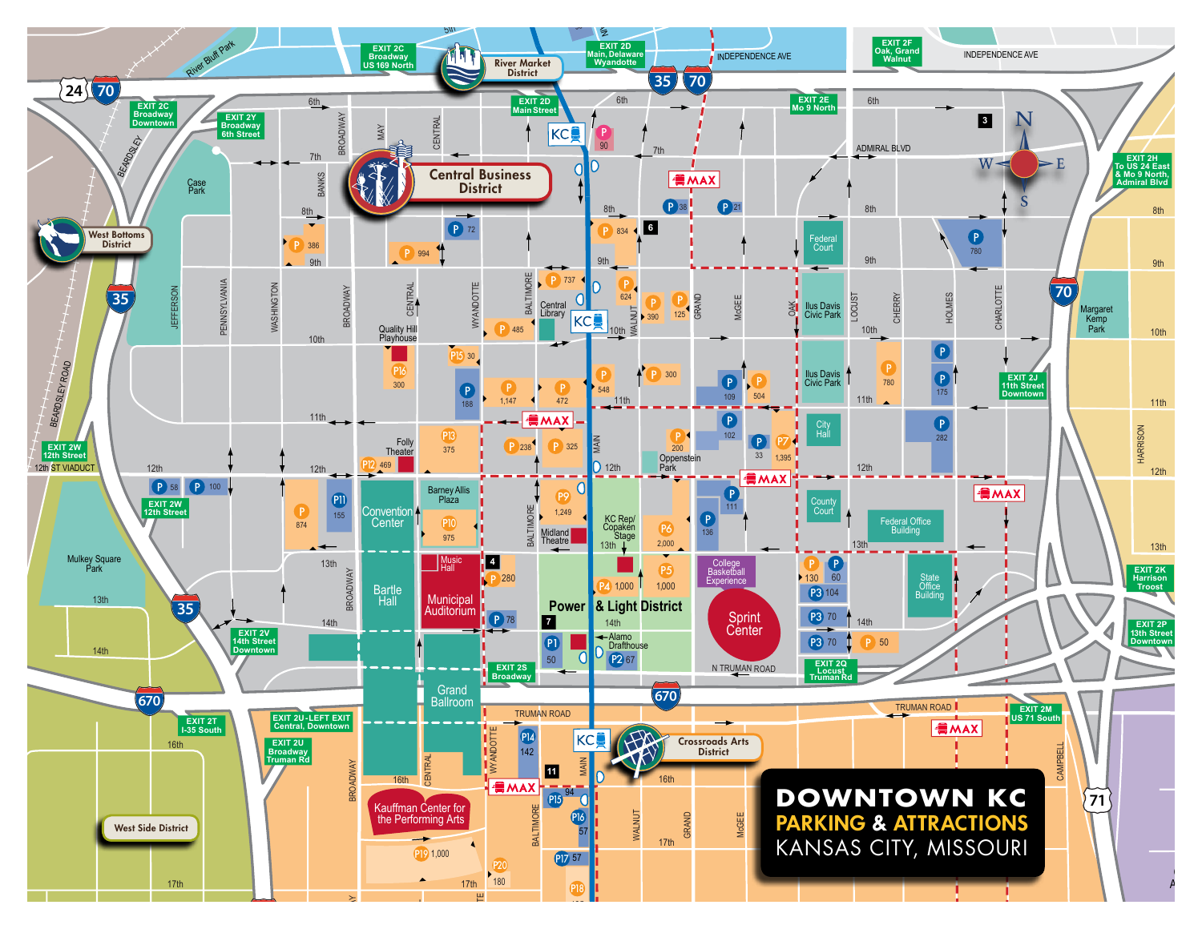